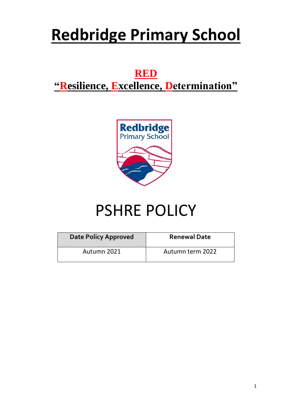# **Redbridge Primary School**

# **RED**

## **"Resilience, Excellence, Determination"**



# PSHRE POLICY

<span id="page-0-0"></span>

| Date Policy Approved | <b>Renewal Date</b> |  |  |  |
|----------------------|---------------------|--|--|--|
| Autumn 2021          | Autumn term 2022    |  |  |  |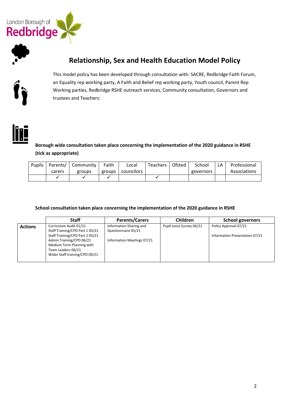

#### **Relationship, Sex and Health Education Model Policy**



This model policy has been developed through consultation with: SACRE, Redbridge Faith Forum, an Equality rep working party, A Faith and Belief rep working party, Youth council, Parent Rep Working parties, Redbridge RSHE outreach services, Community consultation, Governors and trustees and Teachers:



**Borough wide consultation taken place concerning the implementation of the 2020 guidance in RSHE (tick as appropriate)**

| <b>Pupils</b> | Parents/ | Community | Faith  | Local      | <b>Teachers</b> | Ofsted | School    | LA | Professional |
|---------------|----------|-----------|--------|------------|-----------------|--------|-----------|----|--------------|
|               | carers   | groups    | groups | councilors |                 |        | governors |    | Associations |
|               |          |           |        |            |                 |        |           |    |              |

**School consultation taken place concerning the implementation of the 2020 guidance in RSHE** 

|                | <b>Staff</b>                                                                                                                                                                                                | <b>Parents/Carers</b>                                                        | Children                 | <b>School governors</b>                                 |
|----------------|-------------------------------------------------------------------------------------------------------------------------------------------------------------------------------------------------------------|------------------------------------------------------------------------------|--------------------------|---------------------------------------------------------|
| <b>Actions</b> | Curriculum Audit 01/21<br>Staff Training/CPD Part 105/21<br>Staff Training/CPD Part 205/21<br>Admin Training/CPD 06/21<br>Medium Term Planning with<br>Team Leaders 06/21<br>Wider Staff training/CPD 09/21 | Information Sharing and<br>Questionnaire 05/21<br>Information Meetings 07/21 | Pupil voice Survey 06/21 | Policy Approval 07/21<br>Information Presentation 07/21 |
|                |                                                                                                                                                                                                             |                                                                              |                          |                                                         |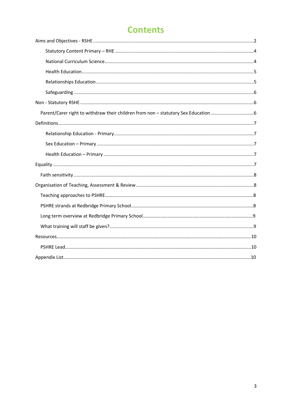### **Contents**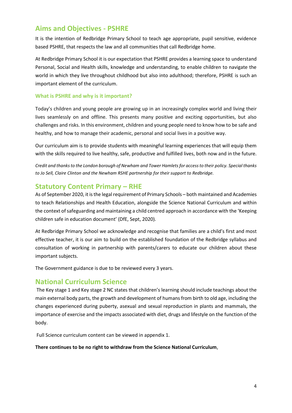#### **Aims and Objectives - PSHRE**

It is the intention of Redbridge Primary School to teach age appropriate, pupil sensitive, evidence based PSHRE, that respects the law and all communities that call Redbridge home.

At Redbridge Primary School it is our expectation that PSHRE provides a learning space to understand Personal, Social and Health skills, knowledge and understanding, to enable children to navigate the world in which they live throughout childhood but also into adulthood; therefore, PSHRE is such an important element of the curriculum.

#### **What is PSHRE and why is it important?**

Today's children and young people are growing up in an increasingly complex world and living their lives seamlessly on and offline. This presents many positive and exciting opportunities, but also challenges and risks. In this environment, children and young people need to know how to be safe and healthy, and how to manage their academic, personal and social lives in a positive way.

Our curriculum aim is to provide students with meaningful learning experiences that will equip them with the skills required to live healthy, safe, productive and fulfilled lives, both now and in the future.

*Credit and thanks to the London borough of Newham and Tower Hamlets for access to their policy. Special thanks to Jo Sell, Claire Clinton and the Newham RSHE partnership for their support to Redbridge.*

#### <span id="page-3-0"></span>**Statutory Content Primary – RHE**

As of September 2020, it is the legal requirement of Primary Schools – both maintained and Academies to teach Relationships and Health Education, alongside the Science National Curriculum and within the context of safeguarding and maintaining a child centred approach in accordance with the 'Keeping children safe in education document' (DfE, Sept, 2020).

At Redbridge Primary School we acknowledge and recognise that families are a child's first and most effective teacher, it is our aim to build on the established foundation of the Redbridge syllabus and consultation of working in partnership with parents/carers to educate our children about these important subjects.

The Government guidance is due to be reviewed every 3 years.

#### <span id="page-3-1"></span>**National Curriculum Science**

The Key stage 1 and Key stage 2 NC states that children's learning should include teachings about the main external body parts, the growth and development of humans from birth to old age, including the changes experienced during puberty, asexual and sexual reproduction in plants and mammals, the importance of exercise and the impacts associated with diet, drugs and lifestyle on the function of the body.

Full Science curriculum content can be viewed in appendix 1.

#### **There continues to be no right to withdraw from the Science National Curriculum**,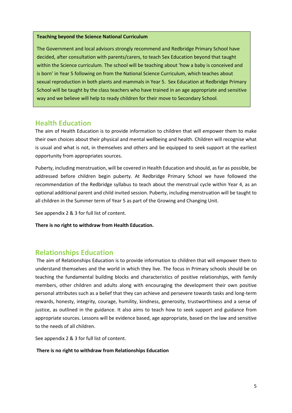#### <span id="page-4-0"></span>**Teaching beyond the Science National Curriculum**

The Government and local advisors strongly recommend and Redbridge Primary School have decided, after consultation with parents/carers, to teach Sex Education beyond that taught within the Science curriculum. The school will be teaching about 'how a baby is conceived and is born' in Year 5 following on from the National Science Curriculum, which teaches about sexual reproduction in both plants and mammals in Year 5. Sex Education at Redbridge Primary School will be taught by the class teachers who have trained in an age appropriate and sensitive way and we believe will help to ready children for their move to Secondary School.

#### **Health Education**

The aim of Health Education is to provide information to children that will empower them to make their own choices about their physical and mental wellbeing and health. Children will recognise what is usual and what is not, in themselves and others and be equipped to seek support at the earliest opportunity from appropriates sources.

Puberty, including menstruation, will be covered in Health Education and should, as far as possible, be addressed before children begin puberty. At Redbridge Primary School we have followed the recommendation of the Redbridge syllabus to teach about the menstrual cycle within Year 4, as an optional additional parent and child invited session. Puberty, including menstruation will be taught to all children in the Summer term of Year 5 as part of the Growing and Changing Unit.

See appendix 2 & 3 for full list of content.

<span id="page-4-1"></span>**There is no right to withdraw from Health Education.** 

#### **Relationships Education**

The aim of Relationships Education is to provide information to children that will empower them to understand themselves and the world in which they live. The focus in Primary schools should be on teaching the fundamental building blocks and characteristics of positive relationships, with family members, other children and adults along with encouraging the development their own positive personal attributes such as a belief that they can achieve and persevere towards tasks and long-term rewards, honesty, integrity, courage, humility, kindness, generosity, trustworthiness and a sense of justice, as outlined in the guidance. It also aims to teach how to seek support and guidance from appropriate sources. Lessons will be evidence based, age appropriate, based on the law and sensitive to the needs of all children.

See appendix 2 & 3 for full list of content.

**There is no right to withdraw from Relationships Education**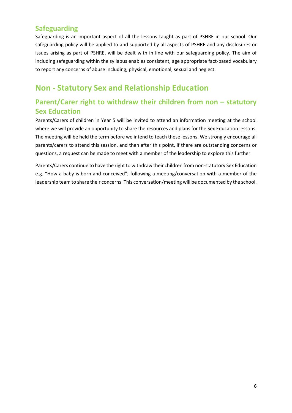#### <span id="page-5-0"></span>**Safeguarding**

Safeguarding is an important aspect of all the lessons taught as part of PSHRE in our school. Our safeguarding policy will be applied to and supported by all aspects of PSHRE and any disclosures or issues arising as part of PSHRE, will be dealt with in line with our safeguarding policy. The aim of including safeguarding within the syllabus enables consistent, age appropriate fact-based vocabulary to report any concerns of abuse including, physical, emotional, sexual and neglect.

### <span id="page-5-1"></span>**Non - Statutory Sex and Relationship Education**

#### <span id="page-5-2"></span>**Parent/Carer right to withdraw their children from non – statutory Sex Education**

Parents/Carers of children in Year 5 will be invited to attend an information meeting at the school where we will provide an opportunity to share the resources and plans for the Sex Education lessons. The meeting will be held the term before we intend to teach these lessons. We strongly encourage all parents/carers to attend this session, and then after this point, if there are outstanding concerns or questions, a request can be made to meet with a member of the leadership to explore this further.

<span id="page-5-3"></span>Parents/Carers continue to have the right to withdraw their children from non-statutory Sex Education e.g. "How a baby is born and conceived"; following a meeting/conversation with a member of the leadership team to share their concerns. This conversation/meeting will be documented by the school.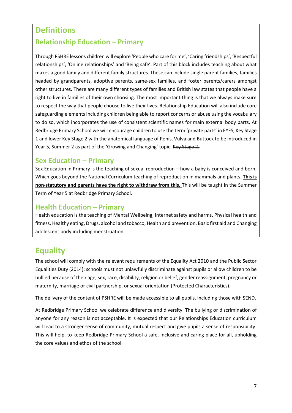#### **Definitions**

#### <span id="page-6-0"></span>**Relationship Education – Primary**

Through PSHRE lessons children will explore 'People who care for me', 'Caring friendships', 'Respectful relationships', 'Online relationships' and 'Being safe'. Part of this block includes teaching about what makes a good family and different family structures. These can include single parent families, families headed by grandparents, adoptive parents, same-sex families, and foster parents/carers amongst other structures. There are many different types of families and British law states that people have a right to live in families of their own choosing. The most important thing is that we always make sure to respect the way that people choose to live their lives. Relationship Education will also include core safeguarding elements including children being able to report concerns or abuse using the vocabulary to do so, which incorporates the use of consistent scientific names for main external body parts. At Redbridge Primary School we will encourage children to use the term 'private parts' in EYFS, Key Stage 1 and lower Key Stage 2 with the anatomical language of Penis, Vulva and Buttock to be introduced in Year 5, Summer 2 as part of the 'Growing and Changing' topic. Key Stage 2.

#### <span id="page-6-1"></span>**Sex Education – Primary**

Sex Education in Primary is the teaching of sexual reproduction – how a baby is conceived and born. Which goes beyond the National Curriculum teaching of reproduction in mammals and plants. **This is non-statutory and parents have the right to withdraw from this.** This will be taught in the Summer Term of Year 5 at Redbridge Primary School.

#### <span id="page-6-2"></span>**Health Education – Primary**

Health education is the teaching of Mental Wellbeing, Internet safety and harms, Physical health and fitness, Healthy eating, Drugs, alcohol and tobacco, Health and prevention, Basic first aid and Changing adolescent body including menstruation.

#### <span id="page-6-3"></span>**Equality**

The school will comply with the relevant requirements of the Equality Act 2010 and the Public Sector Equalities Duty (2014): schools must not unlawfully discriminate against pupils or allow children to be bullied because of their age, sex, race, disability, religion or belief, gender reassignment, pregnancy or maternity, marriage or civil partnership, or sexual orientation (Protected Characteristics).

The delivery of the content of PSHRE will be made accessible to all pupils, including those with SEND.

At Redbridge Primary School we celebrate difference and diversity. The bullying or discrimination of anyone for any reason is not acceptable. It is expected that our Relationships Education curriculum will lead to a stronger sense of community, mutual respect and give pupils a sense of responsibility. This will help, to keep Redbridge Primary School a safe, inclusive and caring place for all, upholding the core values and ethos of the school.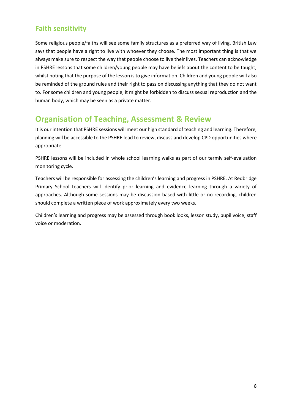#### <span id="page-7-0"></span>**Faith sensitivity**

Some religious people/faiths will see some family structures as a preferred way of living. British Law says that people have a right to live with whoever they choose. The most important thing is that we always make sure to respect the way that people choose to live their lives. Teachers can acknowledge in PSHRE lessons that some children/young people may have beliefs about the content to be taught, whilst noting that the purpose of the lesson is to give information. Children and young people will also be reminded of the ground rules and their right to pass on discussing anything that they do not want to. For some children and young people, it might be forbidden to discuss sexual reproduction and the human body, which may be seen as a private matter.

#### <span id="page-7-1"></span>**Organisation of Teaching, Assessment & Review**

It is our intention that PSHRE sessions will meet our high standard of teaching and learning. Therefore, planning will be accessible to the PSHRE lead to review, discuss and develop CPD opportunities where appropriate.

PSHRE lessons will be included in whole school learning walks as part of our termly self-evaluation monitoring cycle.

Teachers will be responsible for assessing the children's learning and progress in PSHRE. At Redbridge Primary School teachers will identify prior learning and evidence learning through a variety of approaches. Although some sessions may be discussion based with little or no recording, children should complete a written piece of work approximately every two weeks.

Children's learning and progress may be assessed through book looks, lesson study, pupil voice, staff voice or moderation.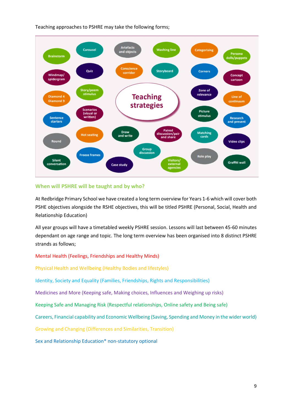Teaching approaches to PSHRE may take the following forms;



#### **When will PSHRE will be taught and by who?**

At Redbridge Primary School we have created a long term overview for Years 1-6 which will cover both PSHE objectives alongside the RSHE objectives, this will be titled PSHRE (Personal, Social, Health and Relationship Education)

All year groups will have a timetabled weekly PSHRE session. Lessons will last between 45-60 minutes dependant on age range and topic. The long term overview has been organised into 8 distinct PSHRE strands as follows;

#### Mental Health (Feelings, Friendships and Healthy Minds)

Physical Health and Wellbeing (Healthy Bodies and lifestyles)

Identity, Society and Equality (Families, Friendships, Rights and Responsibilities)

Medicines and More (Keeping safe, Making choices, Influences and Weighing up risks)

Keeping Safe and Managing Risk (Respectful relationships, Online safety and Being safe)

Careers, Financial capability and Economic Wellbeing (Saving, Spending and Money in the wider world)

Growing and Changing (Differences and Similarities, Transition)

Sex and Relationship Education\* non-statutory optional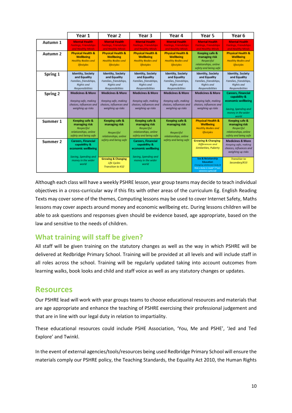|          | Year 1                                                                                               | Year 2                                                                                                      | Year 3                                                                                               | Year 4                                                                                               | Year 5                                                                                                                         | Year 6                                                                                                                  |
|----------|------------------------------------------------------------------------------------------------------|-------------------------------------------------------------------------------------------------------------|------------------------------------------------------------------------------------------------------|------------------------------------------------------------------------------------------------------|--------------------------------------------------------------------------------------------------------------------------------|-------------------------------------------------------------------------------------------------------------------------|
| Autumn 1 | <b>Mental Health</b><br>FeeBoas, Friendships<br>and Healthy Minds                                    | <b>Mental Health</b><br>Feelings, Friendships<br>and Healthy Minds                                          | <b>Mental Health</b><br>Feelings, Friendships<br>and Healthy Minds                                   | <b>Mental Health</b><br>Feelings, Friendships<br>and Healthy Minds                                   | <b>Mental Health</b><br>Feelings, Friendships<br>and Healthy Minds                                                             | <b>Mental Health</b><br>Feelings, Friendships<br>and Healthy Minds                                                      |
| Autumn 2 | <b>Physical Health &amp;</b><br><b>Wellbeing</b><br><b>Healthy Bodles and</b><br>Dfestyles           | <b>Physical Health &amp;</b><br><b>Wellbeing</b><br><b>Healthy Bodles and</b><br>Dfestyles                  | <b>Physical Health &amp;</b><br><b>Wellbeing</b><br><b>Healthy Bodles and</b><br>Dfestyles           | <b>Physical Health &amp;</b><br><b>Wellbeing</b><br><b>Healthy Bodles and</b><br>Dfestyles           | Keeping safe &<br>managing risk<br>Respectful<br>relationships, anline<br>safety and being safe                                | <b>Physical Health &amp;</b><br><b>Wellbeing</b><br><b>Healthy Bodles and</b><br>Dfestyles                              |
| Spring 1 | <b>Identity, Society</b><br>and Equality<br>Families, friendships,<br>Rights and<br>Responsibilities | <b>Identity, Society</b><br>and Equality<br>Families, friendships,<br><b>Rights</b> and<br>Responsibilities | Identity, Society<br>and Equality<br>Families, friendships,<br><b>Rights</b> and<br>Responsibilities | Identity, Society<br>and Equality<br>Families, friendships,<br><b>Rights</b> and<br>Responsibilities | <b>Identity, Society</b><br>and Equality<br>Families, friendships,<br><b>Rights</b> and<br>Responsibilities                    | <b>Identity, Society</b><br>and Equality<br>Families, friendships,<br>Rights and<br>Responsibilities                    |
| Spring 2 | <b>Medicines &amp; More</b><br>Keeping safe, making<br>choices, influences and<br>weighing up risks  | <b>Medicines &amp; More</b><br>Keeping safe, making<br>choices, influences and<br>welghing up risks         | <b>Medicines &amp; More</b><br>Keeping safe, making<br>choices, influences and<br>welghing up risks  | <b>Medicines &amp; More</b><br>Keeping safe, making<br>choices, influences and<br>welghing up risks  | <b>Medicines &amp; More</b><br>Keeping Safe, making<br>choices, influences and<br>welghing up risks                            | <b>Careers</b> , Financial<br>capability &<br>economic wellbeing<br>Savina, Spending and<br>money in the wider<br>world |
| Summer 1 | Keeping safe &<br>managing risk<br>Respectful<br>relationships, anline<br>safety and being safe      | Keeping safe &<br>managing risk<br>Respectful<br>relationships, anline                                      | Keeping safe &<br>managing risk<br>Respectful<br>relationships, anline<br>safety and being safe      | Keeping safe &<br>managing risk<br>Respectful<br>relationships, anline                               | <b>Physical Health &amp;</b><br>Wellbeing<br><b>Healthy Bodles and</b><br>Dfestyles                                            | Keeping safe &<br>managing risk<br>Respectful<br>relationships, anline<br>safety and being safe                         |
| Summer 2 | <b>Careers, Financial</b><br>capability &<br>economic wellbeing<br>Saving, Spending and              | safety and being safe                                                                                       | <b>Careers</b> , Financial<br>capability &<br>economic wellbeing<br>Saving, Spending and             | safety and being safe                                                                                | <b>Growing &amp; Changing</b><br>Differences and<br>Similarities, Puberty                                                      | <b>Medicines &amp; More</b><br>Keeping safe, making<br>choices, influences and<br>welahina up risks                     |
|          | money in the wider<br>world                                                                          | <b>Growing &amp; Changing</b><br>Life Cycles<br>Transition to KS2                                           | money in the wider<br>world                                                                          |                                                                                                      | <b>Sex &amp; Relationship</b><br>Education<br>Changing edalence of body &<br>How a baby is made* ("non-<br>statutory aptiaxed) | Transition to<br>Secondary/KS3                                                                                          |

Although each class will have a weekly PSHRE lesson, year group teams may decide to teach individual objectives in a cross-curricular way if this fits with other areas of the curriculum Eg. English Reading Texts may cover some of the themes, Computing lessons may be used to cover Internet Safety, Maths lessons may cover aspects around money and economic wellbeing etc. During lessons children will be able to ask questions and responses given should be evidence based, age appropriate, based on the law and sensitive to the needs of children.

#### **What training will staff be given?**

All staff will be given training on the statutory changes as well as the way in which PSHRE will be delivered at Redbridge Primary School. Training will be provided at all levels and will include staff in all roles across the school. Training will be regularly updated taking into account outcomes from learning walks, book looks and child and staff voice as well as any statutory changes or updates.

#### **Resources**

Our PSHRE lead will work with year groups teams to choose educational resources and materials that are age appropriate and enhance the teaching of PSHRE exercising their professional judgement and that are in line with our legal duty in relation to impartiality.

These educational resources could include PSHE Association, 'You, Me and PSHE', 'Jed and Ted Explore' and Twinkl.

In the event of external agencies/tools/resources being used Redbridge Primary School will ensure the materials comply our PSHRE policy, the Teaching Standards, the Equality Act 2010, the Human Rights